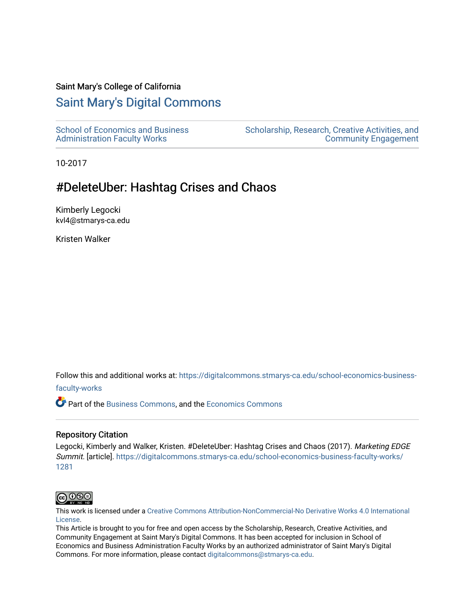#### Saint Mary's College of California

# [Saint Mary's Digital Commons](https://digitalcommons.stmarys-ca.edu/)

[School of Economics and Business](https://digitalcommons.stmarys-ca.edu/school-economics-business-faculty-works)  [Administration Faculty Works](https://digitalcommons.stmarys-ca.edu/school-economics-business-faculty-works)

[Scholarship, Research, Creative Activities, and](https://digitalcommons.stmarys-ca.edu/scholarship-research-community)  [Community Engagement](https://digitalcommons.stmarys-ca.edu/scholarship-research-community) 

10-2017

# #DeleteUber: Hashtag Crises and Chaos

Kimberly Legocki kvl4@stmarys-ca.edu

Kristen Walker

Follow this and additional works at: [https://digitalcommons.stmarys-ca.edu/school-economics-business-](https://digitalcommons.stmarys-ca.edu/school-economics-business-faculty-works?utm_source=digitalcommons.stmarys-ca.edu%2Fschool-economics-business-faculty-works%2F1281&utm_medium=PDF&utm_campaign=PDFCoverPages)

[faculty-works](https://digitalcommons.stmarys-ca.edu/school-economics-business-faculty-works?utm_source=digitalcommons.stmarys-ca.edu%2Fschool-economics-business-faculty-works%2F1281&utm_medium=PDF&utm_campaign=PDFCoverPages) 

Part of the [Business Commons](http://network.bepress.com/hgg/discipline/622?utm_source=digitalcommons.stmarys-ca.edu%2Fschool-economics-business-faculty-works%2F1281&utm_medium=PDF&utm_campaign=PDFCoverPages), and the [Economics Commons](http://network.bepress.com/hgg/discipline/340?utm_source=digitalcommons.stmarys-ca.edu%2Fschool-economics-business-faculty-works%2F1281&utm_medium=PDF&utm_campaign=PDFCoverPages)

#### Repository Citation

Legocki, Kimberly and Walker, Kristen. #DeleteUber: Hashtag Crises and Chaos (2017). Marketing EDGE Summit. [article]. [https://digitalcommons.stmarys-ca.edu/school-economics-business-faculty-works/](https://digitalcommons.stmarys-ca.edu/school-economics-business-faculty-works/1281?utm_source=digitalcommons.stmarys-ca.edu%2Fschool-economics-business-faculty-works%2F1281&utm_medium=PDF&utm_campaign=PDFCoverPages) [1281](https://digitalcommons.stmarys-ca.edu/school-economics-business-faculty-works/1281?utm_source=digitalcommons.stmarys-ca.edu%2Fschool-economics-business-faculty-works%2F1281&utm_medium=PDF&utm_campaign=PDFCoverPages)



This work is licensed under a [Creative Commons Attribution-NonCommercial-No Derivative Works 4.0 International](https://creativecommons.org/licenses/by-nc-nd/4.0/) [License.](https://creativecommons.org/licenses/by-nc-nd/4.0/)

This Article is brought to you for free and open access by the Scholarship, Research, Creative Activities, and Community Engagement at Saint Mary's Digital Commons. It has been accepted for inclusion in School of Economics and Business Administration Faculty Works by an authorized administrator of Saint Mary's Digital Commons. For more information, please contact [digitalcommons@stmarys-ca.edu](mailto:digitalcommons@stmarys-ca.edu).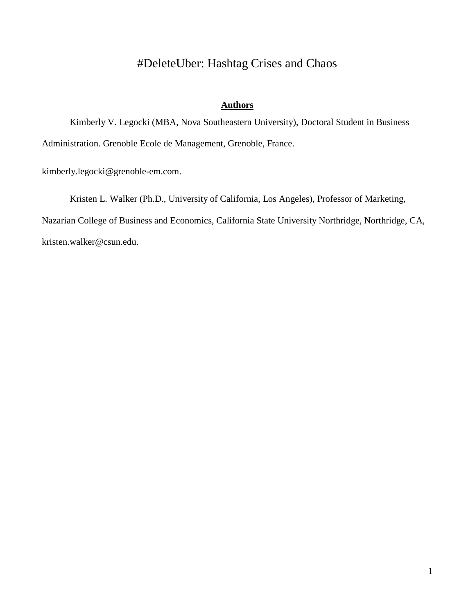# #DeleteUber: Hashtag Crises and Chaos

### **Authors**

Kimberly V. Legocki (MBA, Nova Southeastern University), Doctoral Student in Business Administration. Grenoble Ecole de Management, Grenoble, France.

kimberly.legocki@grenoble-em.com.

Kristen L. Walker (Ph.D., University of California, Los Angeles), Professor of Marketing, Nazarian College of Business and Economics, California State University Northridge, Northridge, CA, kristen.walker@csun.edu.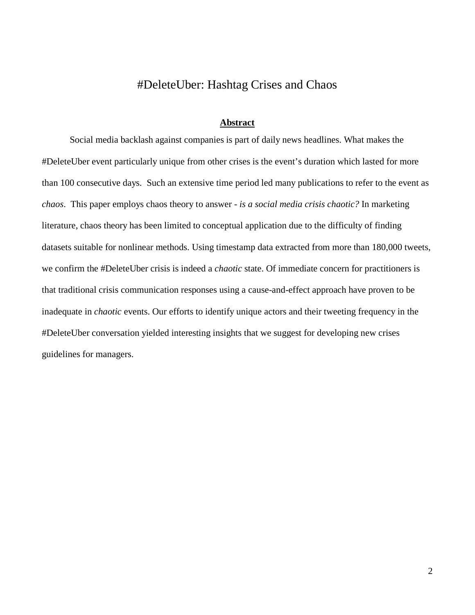## #DeleteUber: Hashtag Crises and Chaos

#### **Abstract**

Social media backlash against companies is part of daily news headlines. What makes the #DeleteUber event particularly unique from other crises is the event's duration which lasted for more than 100 consecutive days. Such an extensive time period led many publications to refer to the event as *chaos*. This paper employs chaos theory to answer - *is a social media crisis chaotic?* In marketing literature, chaos theory has been limited to conceptual application due to the difficulty of finding datasets suitable for nonlinear methods. Using timestamp data extracted from more than 180,000 tweets, we confirm the #DeleteUber crisis is indeed a *chaotic* state. Of immediate concern for practitioners is that traditional crisis communication responses using a cause-and-effect approach have proven to be inadequate in *chaotic* events. Our efforts to identify unique actors and their tweeting frequency in the #DeleteUber conversation yielded interesting insights that we suggest for developing new crises guidelines for managers.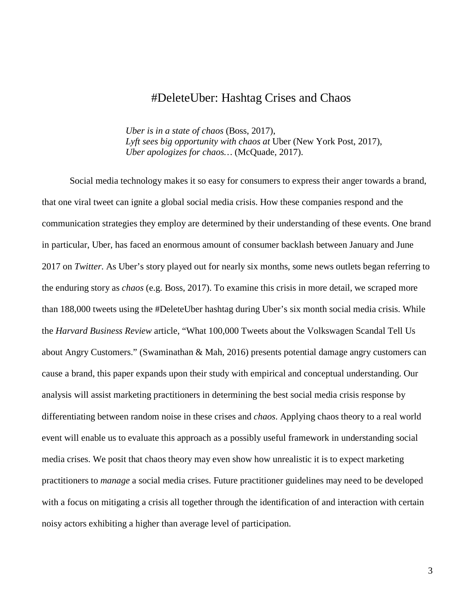## #DeleteUber: Hashtag Crises and Chaos

*Uber is in a state of chaos* (Boss, 2017), *Lyft sees big opportunity with chaos at* Uber (New York Post, 2017), *Uber apologizes for chaos…* (McQuade, 2017).

Social media technology makes it so easy for consumers to express their anger towards a brand, that one viral tweet can ignite a global social media crisis. How these companies respond and the communication strategies they employ are determined by their understanding of these events. One brand in particular, Uber, has faced an enormous amount of consumer backlash between January and June 2017 on *Twitter*. As Uber's story played out for nearly six months, some news outlets began referring to the enduring story as *chaos* (e.g. Boss, 2017). To examine this crisis in more detail, we scraped more than 188,000 tweets using the #DeleteUber hashtag during Uber's six month social media crisis. While the *Harvard Business Review* article, "What 100,000 Tweets about the Volkswagen Scandal Tell Us about Angry Customers." [\(Swaminathan](https://hbr.org/search?term=vanitha+swaminathan) & Mah, 2016) presents potential damage angry customers can cause a brand, this paper expands upon their study with empirical and conceptual understanding. Our analysis will assist marketing practitioners in determining the best social media crisis response by differentiating between random noise in these crises and *chaos*. Applying chaos theory to a real world event will enable us to evaluate this approach as a possibly useful framework in understanding social media crises. We posit that chaos theory may even show how unrealistic it is to expect marketing practitioners to *manage* a social media crises. Future practitioner guidelines may need to be developed with a focus on mitigating a crisis all together through the identification of and interaction with certain noisy actors exhibiting a higher than average level of participation.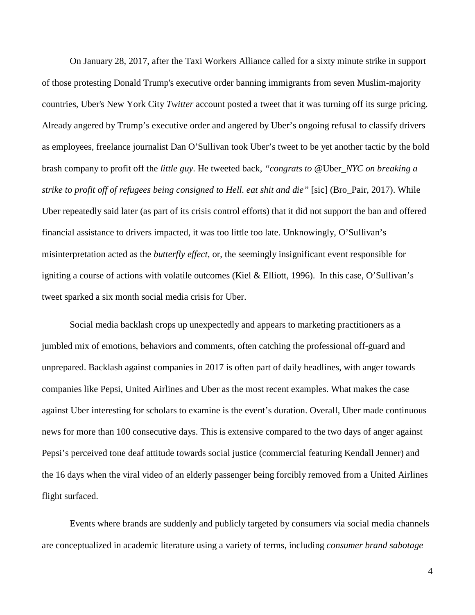On January 28, 2017, after the Taxi Workers Alliance called for a sixty minute strike in support of those protesting Donald Trump's executive order banning immigrants from seven Muslim-majority countries, Uber's New York City *Twitter* account posted a tweet that it was turning off its surge pricing. Already angered by Trump's executive order and angered by Uber's ongoing refusal to classify drivers as employees, freelance journalist Dan O'Sullivan took Uber's tweet to be yet another tactic by the bold brash company to profit off the *little guy.* He tweeted back, *"congrats to @*Uber*[\\_NYC](https://twitter.com/Uber_NYC) on breaking a strike to profit off of refugees being consigned to Hell. eat shit and die"* [sic] (Bro\_Pair, 2017). While Uber repeatedly said later (as part of its crisis control efforts) that it did not support the ban and offered financial assistance to drivers impacted, it was too little too late. Unknowingly, O'Sullivan's misinterpretation acted as the *butterfly effect*, or, the seemingly insignificant event responsible for igniting a course of actions with volatile outcomes (Kiel & Elliott, 1996). In this case, O'Sullivan's tweet sparked a six month social media crisis for Uber.

Social media backlash crops up unexpectedly and appears to marketing practitioners as a jumbled mix of emotions, behaviors and comments, often catching the professional off-guard and unprepared. Backlash against companies in 2017 is often part of daily headlines, with anger towards companies like Pepsi, United Airlines and Uber as the most recent examples. What makes the case against Uber interesting for scholars to examine is the event's duration. Overall, Uber made continuous news for more than 100 consecutive days. This is extensive compared to the two days of anger against Pepsi's perceived tone deaf attitude towards social justice (commercial featuring Kendall Jenner) and the 16 days when the viral video of an elderly passenger being forcibly removed from a United Airlines flight surfaced.

Events where brands are suddenly and publicly targeted by consumers via social media channels are conceptualized in academic literature using a variety of terms, including *consumer brand sabotage*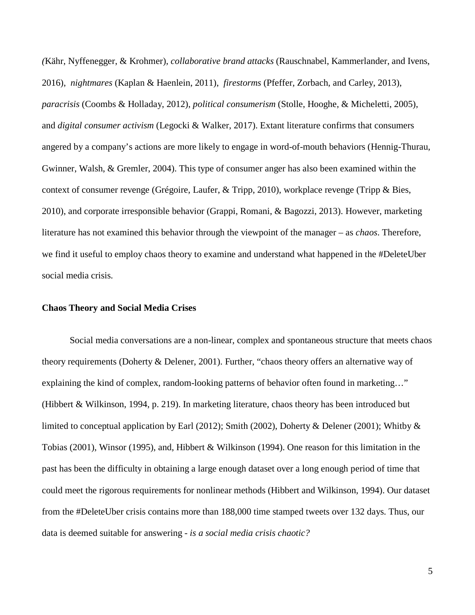*(*Kähr, Nyffenegger, & Krohmer), *collaborative brand attacks* (Rauschnabel, Kammerlander, and Ivens, 2016), *nightmares* (Kaplan & Haenlein, 2011), *firestorms* (Pfeffer, Zorbach, and Carley, 2013), *paracrisis* (Coombs & Holladay, 2012), *political consumerism* (Stolle, Hooghe, & Micheletti, 2005), and *digital consumer activism* (Legocki & Walker, 2017). Extant literature confirms that consumers angered by a company's actions are more likely to engage in word-of-mouth behaviors (Hennig-Thurau, Gwinner, Walsh, & Gremler, 2004). This type of consumer anger has also been examined within the context of consumer revenge (Grégoire, Laufer, & Tripp, 2010), workplace revenge (Tripp & Bies, 2010), and corporate irresponsible behavior (Grappi, Romani, & Bagozzi, 2013). However, marketing literature has not examined this behavior through the viewpoint of the manager – as *chaos*. Therefore, we find it useful to employ chaos theory to examine and understand what happened in the #DeleteUber social media crisis.

#### **Chaos Theory and Social Media Crises**

Social media conversations are a non-linear, complex and spontaneous structure that meets chaos theory requirements (Doherty & Delener, 2001). Further, "chaos theory offers an alternative way of explaining the kind of complex, random-looking patterns of behavior often found in marketing…" (Hibbert & Wilkinson, 1994, p. 219). In marketing literature, chaos theory has been introduced but limited to conceptual application by Earl (2012); Smith (2002), Doherty & Delener (2001); Whitby & Tobias (2001), Winsor (1995), and, Hibbert & Wilkinson (1994). One reason for this limitation in the past has been the difficulty in obtaining a large enough dataset over a long enough period of time that could meet the rigorous requirements for nonlinear methods (Hibbert and Wilkinson, 1994). Our dataset from the #DeleteUber crisis contains more than 188,000 time stamped tweets over 132 days. Thus, our data is deemed suitable for answering - *is a social media crisis chaotic?*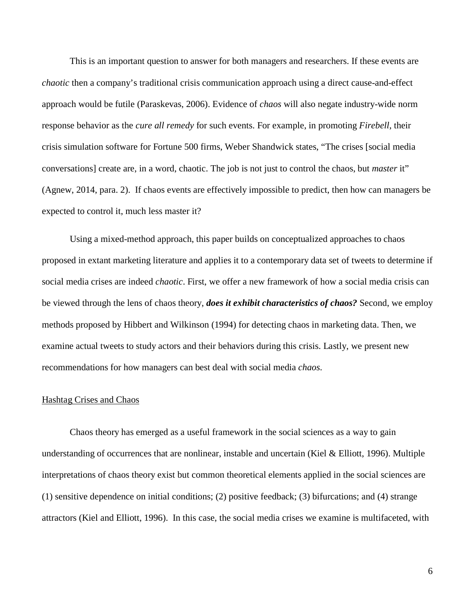This is an important question to answer for both managers and researchers. If these events are *chaotic* then a company's traditional crisis communication approach using a direct cause-and-effect approach would be futile (Paraskevas, 2006). Evidence of *chaos* will also negate industry-wide norm response behavior as the *cure all remedy* for such events. For example, in promoting *Firebell*, their crisis simulation software for Fortune 500 firms, Weber Shandwick states, "The crises [social media conversations] create are, in a word, chaotic. The job is not just to control the chaos, but *master* it" (Agnew, 2014, para. 2). If chaos events are effectively impossible to predict, then how can managers be expected to control it, much less master it?

Using a mixed-method approach, this paper builds on conceptualized approaches to chaos proposed in extant marketing literature and applies it to a contemporary data set of tweets to determine if social media crises are indeed *chaotic*. First, we offer a new framework of how a social media crisis can be viewed through the lens of chaos theory, *does it exhibit characteristics of chaos?* Second, we employ methods proposed by Hibbert and Wilkinson (1994) for detecting chaos in marketing data. Then, we examine actual tweets to study actors and their behaviors during this crisis. Lastly, we present new recommendations for how managers can best deal with social media *chaos*.

#### Hashtag Crises and Chaos

Chaos theory has emerged as a useful framework in the social sciences as a way to gain understanding of occurrences that are nonlinear, instable and uncertain (Kiel & Elliott, 1996). Multiple interpretations of chaos theory exist but common theoretical elements applied in the social sciences are (1) sensitive dependence on initial conditions; (2) positive feedback; (3) bifurcations; and (4) strange attractors (Kiel and Elliott, 1996). In this case, the social media crises we examine is multifaceted, with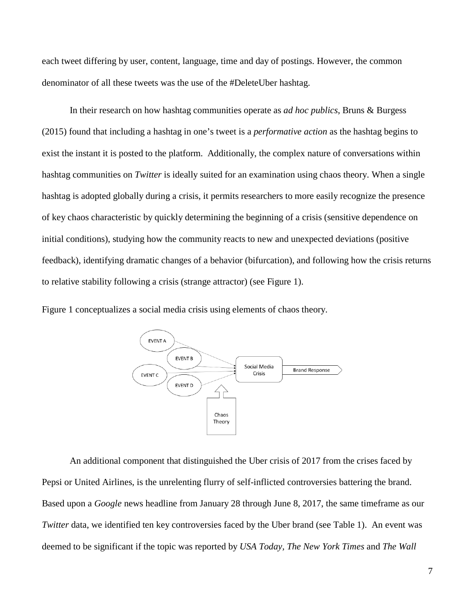each tweet differing by user, content, language, time and day of postings. However, the common denominator of all these tweets was the use of the #DeleteUber hashtag.

In their research on how hashtag communities operate as *ad hoc publics*, Bruns & Burgess (2015) found that including a hashtag in one's tweet is a *performative action* as the hashtag begins to exist the instant it is posted to the platform. Additionally, the complex nature of conversations within hashtag communities on *Twitter* is ideally suited for an examination using chaos theory. When a single hashtag is adopted globally during a crisis, it permits researchers to more easily recognize the presence of key chaos characteristic by quickly determining the beginning of a crisis (sensitive dependence on initial conditions), studying how the community reacts to new and unexpected deviations (positive feedback), identifying dramatic changes of a behavior (bifurcation), and following how the crisis returns to relative stability following a crisis (strange attractor) (see Figure 1).

Figure 1 conceptualizes a social media crisis using elements of chaos theory.



An additional component that distinguished the Uber crisis of 2017 from the crises faced by Pepsi or United Airlines, is the unrelenting flurry of self-inflicted controversies battering the brand. Based upon a *Google* news headline from January 28 through June 8, 2017, the same timeframe as our *Twitter* data, we identified ten key controversies faced by the Uber brand (see Table 1). An event was deemed to be significant if the topic was reported by *USA Today, The New York Times* and *The Wall*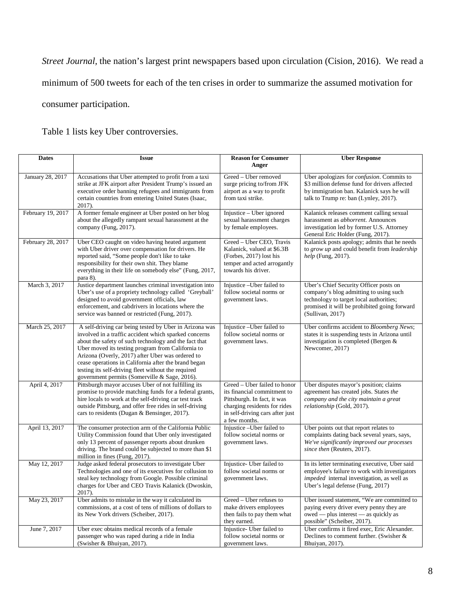*Street Journal,* the nation's largest print newspapers based upon circulation (Cision, 2016). We read a minimum of 500 tweets for each of the ten crises in order to summarize the assumed motivation for consumer participation.

Table 1 lists key Uber controversies.

| <b>Dates</b>      | <b>Issue</b>                                                                                                                                                                                                                                                                                                                                                                                                                                      | <b>Reason for Consumer</b>                                                                                                                                                     | <b>Uber Response</b>                                                                                                                                                                            |  |  |  |
|-------------------|---------------------------------------------------------------------------------------------------------------------------------------------------------------------------------------------------------------------------------------------------------------------------------------------------------------------------------------------------------------------------------------------------------------------------------------------------|--------------------------------------------------------------------------------------------------------------------------------------------------------------------------------|-------------------------------------------------------------------------------------------------------------------------------------------------------------------------------------------------|--|--|--|
|                   |                                                                                                                                                                                                                                                                                                                                                                                                                                                   | Anger                                                                                                                                                                          |                                                                                                                                                                                                 |  |  |  |
| January 28, 2017  | Accusations that Uber attempted to profit from a taxi<br>strike at JFK airport after President Trump's issued an<br>executive order banning refugees and immigrants from<br>certain countries from entering United States (Isaac,<br>2017).                                                                                                                                                                                                       | Greed - Uber removed<br>surge pricing to/from JFK<br>airport as a way to profit<br>from taxi strike.                                                                           | Uber apologizes for confusion. Commits to<br>\$3 million defense fund for drivers affected<br>by immigration ban. Kalanick says he will<br>talk to Trump re: ban (Lynley, 2017).                |  |  |  |
| February 19, 2017 | A former female engineer at Uber posted on her blog<br>about the allegedly rampant sexual harassment at the<br>company (Fung, 2017).                                                                                                                                                                                                                                                                                                              | Injustice – Uber ignored<br>sexual harassment charges<br>by female employees.                                                                                                  | Kalanick releases comment calling sexual<br>harassment as <i>abhorrent</i> . Announces<br>investigation led by former U.S. Attorney<br>General Eric Holder (Fung, 2017).                        |  |  |  |
| February 28, 2017 | Uber CEO caught on video having heated argument<br>with Uber driver over compensation for drivers. He<br>reported said, "Some people don't like to take<br>responsibility for their own shit. They blame<br>everything in their life on somebody else" (Fung, 2017,<br>para 8).                                                                                                                                                                   | Greed - Uber CEO, Travis<br>Kalanick, valued at \$6.3B<br>(Forbes, 2017) lost his<br>temper and acted arrogantly<br>towards his driver.                                        | Kalanick posts apology; admits that he needs<br>to grow up and could benefit from leadership<br>help (Fung, 2017).                                                                              |  |  |  |
| March 3, 2017     | Justice department launches criminal investigation into<br>Uber's use of a propriety technology called 'Greyball'<br>designed to avoid government officials, law<br>enforcement, and cabdrivers in locations where the<br>service was banned or restricted (Fung, 2017).                                                                                                                                                                          | Injustice-Uber failed to<br>follow societal norms or<br>government laws.                                                                                                       | Uber's Chief Security Officer posts on<br>company's blog admitting to using such<br>technology to target local authorities;<br>promised it will be prohibited going forward<br>(Sultivan, 2017) |  |  |  |
| March 25, 2017    | A self-driving car being tested by Uber in Arizona was<br>involved in a traffic accident which sparked concerns<br>about the safety of such technology and the fact that<br>Uber moved its testing program from California to<br>Arizona (Overly, 2017) after Uber was ordered to<br>cease operations in California after the brand began<br>testing its self-driving fleet without the required<br>government permits (Somerville & Sage, 2016). | Injustice - Uber failed to<br>follow societal norms or<br>government laws.                                                                                                     | Uber confirms accident to Bloomberg News;<br>states it is suspending tests in Arizona until<br>investigation is completed (Bergen &<br>Newcomer, 2017)                                          |  |  |  |
| April 4, 2017     | Pittsburgh mayor accuses Uber of not fulfilling its<br>promise to provide matching funds for a federal grants,<br>hire locals to work at the self-driving car test track<br>outside Pittsburg, and offer free rides in self-driving<br>cars to residents (Dugan & Bensinger, 2017).                                                                                                                                                               | Greed – Uber failed to honor<br>its financial commitment to<br>Pittsburgh. In fact, it was<br>charging residents for rides<br>in self-driving cars after just<br>a few months. | Uber disputes mayor's position; claims<br>agreement has created jobs. States the<br>company and the city maintain a great<br>relationship (Gold, 2017).                                         |  |  |  |
| April 13, 2017    | The consumer protection arm of the California Public<br>Utility Commission found that Uber only investigated<br>only 13 percent of passenger reports about drunken<br>driving. The brand could be subjected to more than \$1<br>million in fines (Fung, 2017).                                                                                                                                                                                    | Injustice - Uber failed to<br>follow societal norms or<br>government laws.                                                                                                     | Uber points out that report relates to<br>complaints dating back several years, says,<br>We've significantly improved our processes<br>since then (Reuters, 2017).                              |  |  |  |
| May 12, 2017      | Judge asked federal prosecutors to investigate Uber<br>Technologies and one of its executives for collusion to<br>steal key technology from Google. Possible criminal<br>charges for Uber and CEO Travis Kalanick (Dwoskin,<br>2017).                                                                                                                                                                                                             | Injustice- Uber failed to<br>follow societal norms or<br>government laws.                                                                                                      | In its letter terminating executive, Uber said<br>employee's failure to work with investigators<br><i>impeded</i> internal investigation, as well as<br>Uber's legal defense (Fung, 2017)       |  |  |  |
| May 23, 2017      | Uber admits to mistake in the way it calculated its<br>commissions, at a cost of tens of millions of dollars to<br>its New York drivers (Scheiber, 2017).                                                                                                                                                                                                                                                                                         | Greed - Uber refuses to<br>make drivers employees<br>then fails to pay them what<br>they earned.                                                                               | Uber issued statement, "We are committed to<br>paying every driver every penny they are<br>owed — plus interest — as quickly as<br>possible" (Scheiber, 2017).                                  |  |  |  |
| June 7, 2017      | Uber exec obtains medical records of a female<br>passenger who was raped during a ride in India<br>(Swisher & Bhuiyan, 2017).                                                                                                                                                                                                                                                                                                                     | Injustice- Uber failed to<br>follow societal norms or<br>government laws.                                                                                                      | Uber confirms it fired exec, Eric Alexander.<br>Declines to comment further. (Swisher &<br>Bhuiyan, 2017).                                                                                      |  |  |  |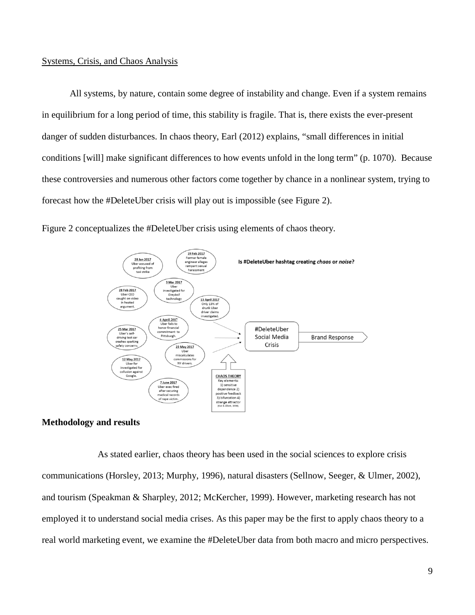#### Systems, Crisis, and Chaos Analysis

All systems, by nature, contain some degree of instability and change. Even if a system remains in equilibrium for a long period of time, this stability is fragile. That is, there exists the ever-present danger of sudden disturbances. In chaos theory, Earl (2012) explains, "small differences in initial conditions [will] make significant differences to how events unfold in the long term" (p. 1070). Because these controversies and numerous other factors come together by chance in a nonlinear system, trying to forecast how the #DeleteUber crisis will play out is impossible (see Figure 2).

Figure 2 conceptualizes the #DeleteUber crisis using elements of chaos theory.



#### **Methodology and results**

As stated earlier, chaos theory has been used in the social sciences to explore crisis communications (Horsley, 2013; Murphy, 1996), natural disasters (Sellnow, Seeger, & Ulmer, 2002), and tourism (Speakman & Sharpley, 2012; McKercher, 1999). However, marketing research has not employed it to understand social media crises. As this paper may be the first to apply chaos theory to a real world marketing event, we examine the #DeleteUber data from both macro and micro perspectives.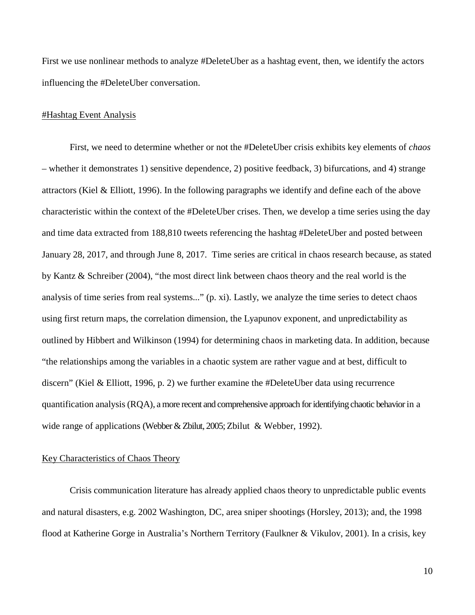First we use nonlinear methods to analyze #DeleteUber as a hashtag event, then, we identify the actors influencing the #DeleteUber conversation.

#### #Hashtag Event Analysis

First, we need to determine whether or not the #DeleteUber crisis exhibits key elements of *chaos* – whether it demonstrates 1) sensitive dependence, 2) positive feedback, 3) bifurcations, and 4) strange attractors (Kiel & Elliott, 1996). In the following paragraphs we identify and define each of the above characteristic within the context of the #DeleteUber crises. Then, we develop a time series using the day and time data extracted from 188,810 tweets referencing the hashtag #DeleteUber and posted between January 28, 2017, and through June 8, 2017. Time series are critical in chaos research because, as stated by Kantz & Schreiber (2004), "the most direct link between chaos theory and the real world is the analysis of time series from real systems..." (p. xi). Lastly, we analyze the time series to detect chaos using first return maps, the correlation dimension, the Lyapunov exponent, and unpredictability as outlined by Hibbert and Wilkinson (1994) for determining chaos in marketing data. In addition, because "the relationships among the variables in a chaotic system are rather vague and at best, difficult to discern" (Kiel & Elliott, 1996, p. 2) we further examine the #DeleteUber data using recurrence quantification analysis(RQA), a more recent and comprehensive approach foridentifying chaotic behavior in a wide range of applications (Webber & Zbilut, 2005; Zbilut & Webber, 1992).

#### Key Characteristics of Chaos Theory

Crisis communication literature has already applied chaos theory to unpredictable public events and natural disasters, e.g. 2002 Washington, DC, area sniper shootings (Horsley, 2013); and, the 1998 flood at Katherine Gorge in Australia's Northern Territory (Faulkner & Vikulov, 2001). In a crisis, key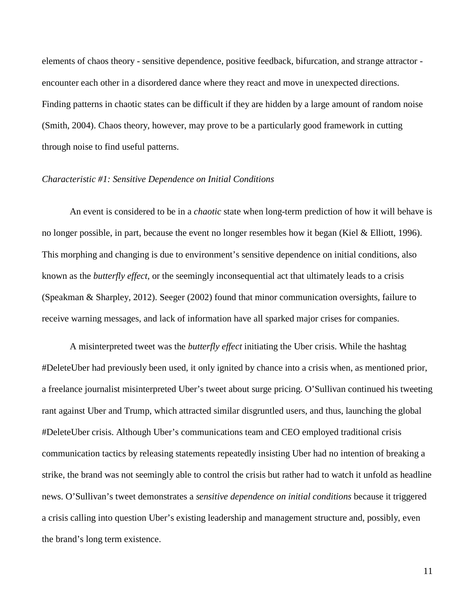elements of chaos theory - sensitive dependence, positive feedback, bifurcation, and strange attractor encounter each other in a disordered dance where they react and move in unexpected directions. Finding patterns in chaotic states can be difficult if they are hidden by a large amount of random noise (Smith, 2004). Chaos theory, however, may prove to be a particularly good framework in cutting through noise to find useful patterns.

#### *Characteristic #1: Sensitive Dependence on Initial Conditions*

An event is considered to be in a *chaotic* state when long-term prediction of how it will behave is no longer possible, in part, because the event no longer resembles how it began (Kiel & Elliott, 1996). This morphing and changing is due to environment's sensitive dependence on initial conditions, also known as the *butterfly effect,* or the seemingly inconsequential act that ultimately leads to a crisis (Speakman & Sharpley, 2012). Seeger (2002) found that minor communication oversights, failure to receive warning messages, and lack of information have all sparked major crises for companies.

A misinterpreted tweet was the *butterfly effect* initiating the Uber crisis. While the hashtag #DeleteUber had previously been used, it only ignited by chance into a crisis when, as mentioned prior, a freelance journalist misinterpreted Uber's tweet about surge pricing. O'Sullivan continued his tweeting rant against Uber and Trump, which attracted similar disgruntled users, and thus, launching the global #DeleteUber crisis. Although Uber's communications team and CEO employed traditional crisis communication tactics by releasing statements repeatedly insisting Uber had no intention of breaking a strike, the brand was not seemingly able to control the crisis but rather had to watch it unfold as headline news. O'Sullivan's tweet demonstrates a *sensitive dependence on initial conditions* because it triggered a crisis calling into question Uber's existing leadership and management structure and, possibly, even the brand's long term existence.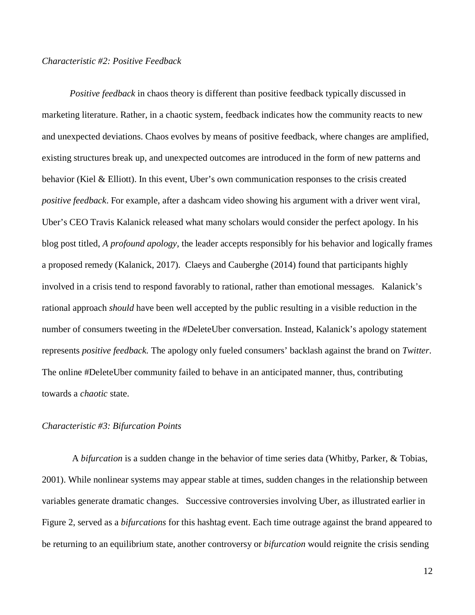#### *Characteristic #2: Positive Feedback*

*Positive feedback* in chaos theory is different than positive feedback typically discussed in marketing literature. Rather, in a chaotic system, feedback indicates how the community reacts to new and unexpected deviations. Chaos evolves by means of positive feedback, where changes are amplified, existing structures break up, and unexpected outcomes are introduced in the form of new patterns and behavior (Kiel & Elliott). In this event, Uber's own communication responses to the crisis created *positive feedback*. For example, after a dashcam video showing his argument with a driver went viral, Uber's CEO Travis Kalanick released what many scholars would consider the perfect apology. In his blog post titled, *A profound apology,* the leader accepts responsibly for his behavior and logically frames a proposed remedy (Kalanick, 2017). Claeys and Cauberghe (2014) found that participants highly involved in a crisis tend to respond favorably to rational, rather than emotional messages. Kalanick's rational approach *should* have been well accepted by the public resulting in a visible reduction in the number of consumers tweeting in the #DeleteUber conversation. Instead, Kalanick's apology statement represents *positive feedback.* The apology only fueled consumers' backlash against the brand on *Twitter*. The online #DeleteUber community failed to behave in an anticipated manner, thus, contributing towards a *chaotic* state.

#### *Characteristic #3: Bifurcation Points*

A *bifurcation* is a sudden change in the behavior of time series data (Whitby, Parker, & Tobias, 2001). While nonlinear systems may appear stable at times, sudden changes in the relationship between variables generate dramatic changes. Successive controversies involving Uber, as illustrated earlier in Figure 2, served as a *bifurcations* for this hashtag event. Each time outrage against the brand appeared to be returning to an equilibrium state, another controversy or *bifurcation* would reignite the crisis sending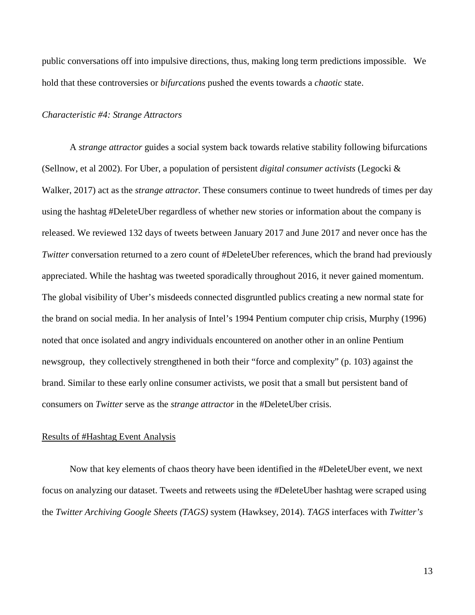public conversations off into impulsive directions, thus, making long term predictions impossible. We hold that these controversies or *bifurcations* pushed the events towards a *chaotic* state.

#### *Characteristic #4: Strange Attractors*

A *strange attractor* guides a social system back towards relative stability following bifurcations (Sellnow, et al 2002). For Uber, a population of persistent *digital consumer activists* (Legocki & Walker, 2017) act as the *strange attractor.* These consumers continue to tweet hundreds of times per day using the hashtag #DeleteUber regardless of whether new stories or information about the company is released. We reviewed 132 days of tweets between January 2017 and June 2017 and never once has the *Twitter* conversation returned to a zero count of #DeleteUber references, which the brand had previously appreciated. While the hashtag was tweeted sporadically throughout 2016, it never gained momentum. The global visibility of Uber's misdeeds connected disgruntled publics creating a new normal state for the brand on social media. In her analysis of Intel's 1994 Pentium computer chip crisis, Murphy (1996) noted that once isolated and angry individuals encountered on another other in an online Pentium newsgroup, they collectively strengthened in both their "force and complexity" (p. 103) against the brand. Similar to these early online consumer activists, we posit that a small but persistent band of consumers on *Twitter* serve as the *strange attractor* in the #DeleteUber crisis.

#### Results of #Hashtag Event Analysis

Now that key elements of chaos theory have been identified in the #DeleteUber event, we next focus on analyzing our dataset. Tweets and retweets using the #DeleteUber hashtag were scraped using the *Twitter Archiving Google Sheets (TAGS)* system (Hawksey, 2014). *TAGS* interfaces with *Twitter's*

13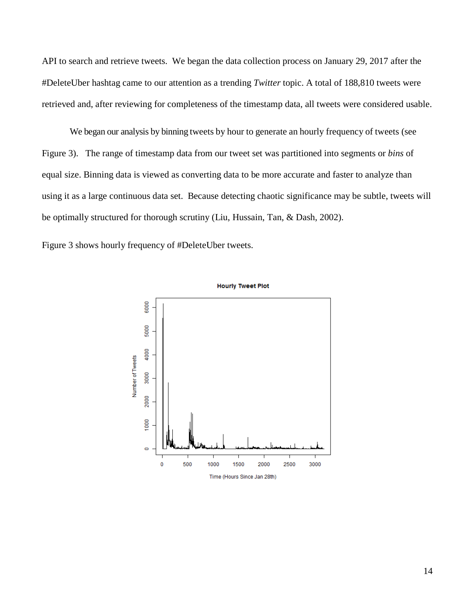API to search and retrieve tweets. We began the data collection process on January 29, 2017 after the #DeleteUber hashtag came to our attention as a trending *Twitter* topic. A total of 188,810 tweets were retrieved and, after reviewing for completeness of the timestamp data, all tweets were considered usable.

We began our analysis by binning tweets by hour to generate an hourly frequency of tweets (see Figure 3). The range of timestamp data from our tweet set was partitioned into segments or *bins* of equal size. Binning data is viewed as converting data to be more accurate and faster to analyze than using it as a large continuous data set. Because detecting chaotic significance may be subtle, tweets will be optimally structured for thorough scrutiny (Liu, Hussain, Tan, & Dash, 2002).

Figure 3 shows hourly frequency of #DeleteUber tweets.



14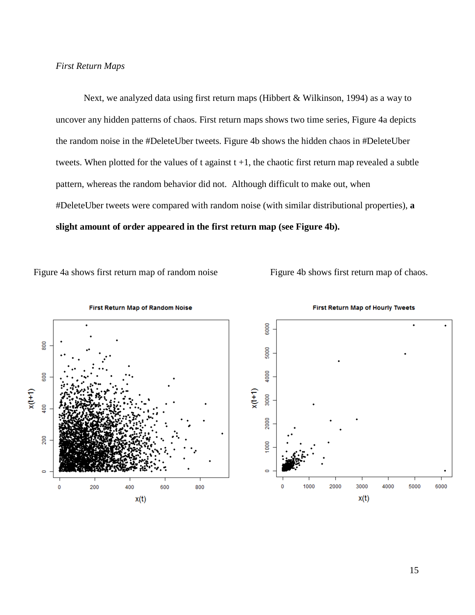#### *First Return Maps*

Next, we analyzed data using first return maps (Hibbert & Wilkinson, 1994) as a way to uncover any hidden patterns of chaos. First return maps shows two time series, Figure 4a depicts the random noise in the #DeleteUber tweets. Figure 4b shows the hidden chaos in #DeleteUber tweets. When plotted for the values of t against  $t + 1$ , the chaotic first return map revealed a subtle pattern, whereas the random behavior did not. Although difficult to make out, when #DeleteUber tweets were compared with random noise (with similar distributional properties), **a slight amount of order appeared in the first return map (see Figure 4b).**

Figure 4a shows first return map of random noise Figure 4b shows first return map of chaos.





**First Return Map of Hourly Tweets**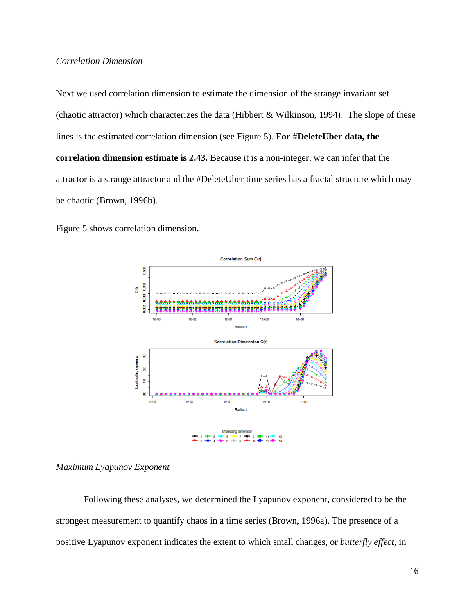### *Correlation Dimension*

Next we used correlation dimension to estimate the dimension of the strange invariant set (chaotic attractor) which characterizes the data (Hibbert & Wilkinson, 1994). The slope of these lines is the estimated correlation dimension (see Figure 5). **For** #**DeleteUber data, the correlation dimension estimate is 2.43.** Because it is a non-integer, we can infer that the attractor is a strange attractor and the #DeleteUber time series has a fractal structure which may be chaotic (Brown, 1996b).

Figure 5 shows correlation dimension.



#### *Maximum Lyapunov Exponent*

Following these analyses, we determined the Lyapunov exponent, considered to be the strongest measurement to quantify chaos in a time series (Brown, 1996a). The presence of a positive Lyapunov exponent indicates the extent to which small changes, or *butterfly effect,* in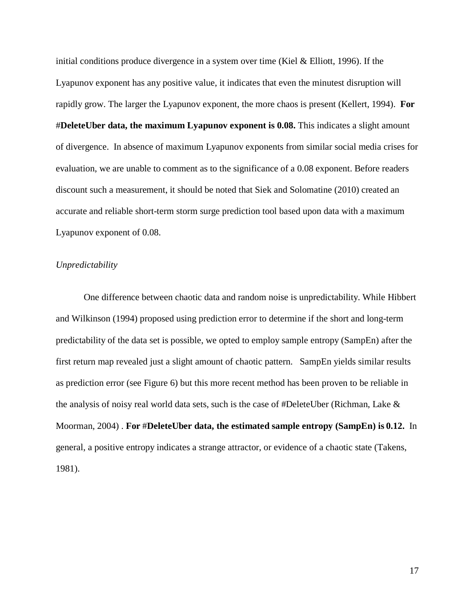initial conditions produce divergence in a system over time (Kiel & Elliott, 1996). If the Lyapunov exponent has any positive value, it indicates that even the minutest disruption will rapidly grow. The larger the Lyapunov exponent, the more chaos is present (Kellert, 1994). **For**  #**DeleteUber data, the maximum Lyapunov exponent is 0.08.** This indicates a slight amount of divergence. In absence of maximum Lyapunov exponents from similar social media crises for evaluation, we are unable to comment as to the significance of a 0.08 exponent. Before readers discount such a measurement, it should be noted that Siek and Solomatine (2010) created an accurate and reliable short-term storm surge prediction tool based upon data with a maximum Lyapunov exponent of 0.08.

#### *Unpredictability*

One difference between chaotic data and random noise is unpredictability. While Hibbert and Wilkinson (1994) proposed using prediction error to determine if the short and long-term predictability of the data set is possible, we opted to employ sample entropy (SampEn) after the first return map revealed just a slight amount of chaotic pattern. SampEn yields similar results as prediction error (see Figure 6) but this more recent method has been proven to be reliable in the analysis of noisy real world data sets, such is the case of #DeleteUber (Richman, Lake & Moorman, 2004) . **For** #**DeleteUber data, the estimated sample entropy (SampEn) is 0.12.** In general, a positive entropy indicates a strange attractor, or evidence of a chaotic state (Takens, 1981).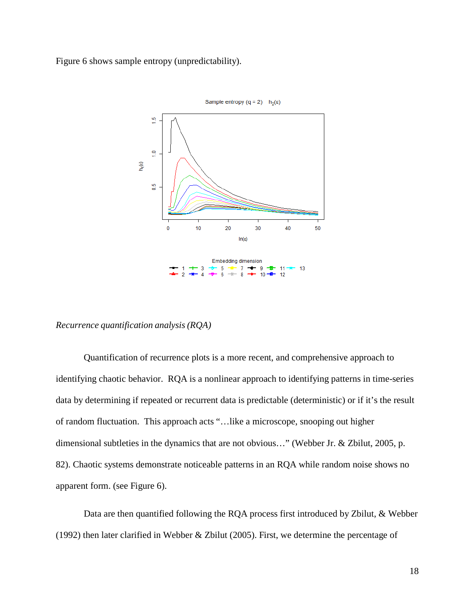Figure 6 shows sample entropy (unpredictability).



### *Recurrence quantification analysis (RQA)*

Quantification of recurrence plots is a more recent, and comprehensive approach to identifying chaotic behavior. RQA is a nonlinear approach to identifying patterns in time-series data by determining if repeated or recurrent data is predictable (deterministic) or if it's the result of random fluctuation. This approach acts "…like a microscope, snooping out higher dimensional subtleties in the dynamics that are not obvious…" (Webber Jr. & Zbilut, 2005, p. 82). Chaotic systems demonstrate noticeable patterns in an RQA while random noise shows no apparent form. (see Figure 6).

Data are then quantified following the RQA process first introduced by Zbilut, & Webber (1992) then later clarified in Webber & Zbilut (2005). First, we determine the percentage of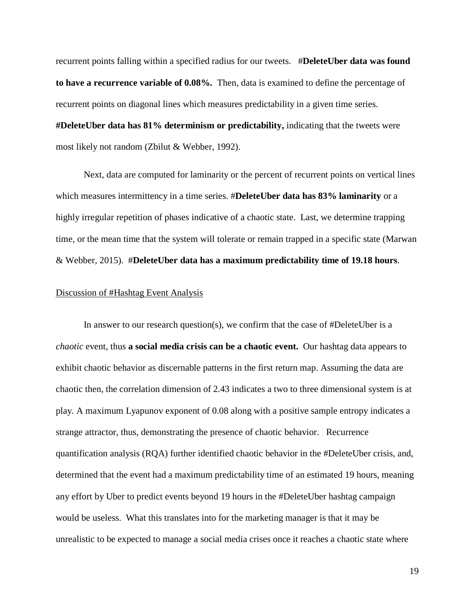recurrent points falling within a specified radius for our tweets. #**DeleteUber data was found to have a recurrence variable of 0.08%.** Then, data is examined to define the percentage of recurrent points on diagonal lines which measures predictability in a given time series. **#DeleteUber data has 81% determinism or predictability,** indicating that the tweets were most likely not random (Zbilut & Webber, 1992).

Next, data are computed for laminarity or the percent of recurrent points on vertical lines which measures intermittency in a time series. #**DeleteUber data has 83% laminarity** or a highly irregular repetition of phases indicative of a chaotic state. Last, we determine trapping time, or the mean time that the system will tolerate or remain trapped in a specific state (Marwan & Webber, 2015). #**DeleteUber data has a maximum predictability time of 19.18 hours**.

#### Discussion of #Hashtag Event Analysis

In answer to our research question(s), we confirm that the case of #DeleteUber is a *chaotic* event, thus **a social media crisis can be a chaotic event.** Our hashtag data appears to exhibit chaotic behavior as discernable patterns in the first return map. Assuming the data are chaotic then, the correlation dimension of 2.43 indicates a two to three dimensional system is at play. A maximum Lyapunov exponent of 0.08 along with a positive sample entropy indicates a strange attractor, thus, demonstrating the presence of chaotic behavior. Recurrence quantification analysis (RQA) further identified chaotic behavior in the #DeleteUber crisis, and, determined that the event had a maximum predictability time of an estimated 19 hours, meaning any effort by Uber to predict events beyond 19 hours in the #DeleteUber hashtag campaign would be useless. What this translates into for the marketing manager is that it may be unrealistic to be expected to manage a social media crises once it reaches a chaotic state where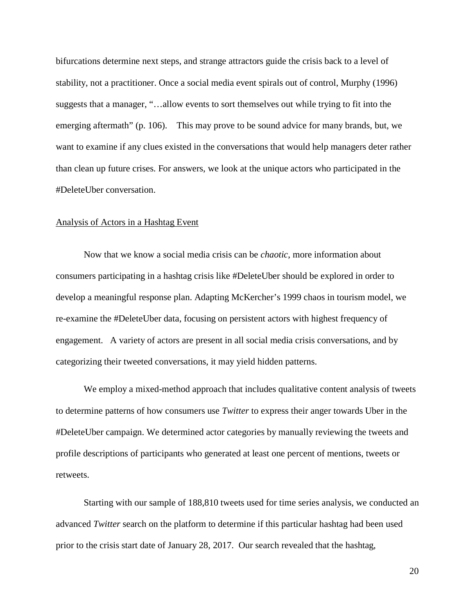bifurcations determine next steps, and strange attractors guide the crisis back to a level of stability, not a practitioner. Once a social media event spirals out of control, Murphy (1996) suggests that a manager, "…allow events to sort themselves out while trying to fit into the emerging aftermath" (p. 106). This may prove to be sound advice for many brands, but, we want to examine if any clues existed in the conversations that would help managers deter rather than clean up future crises. For answers, we look at the unique actors who participated in the #DeleteUber conversation.

#### Analysis of Actors in a Hashtag Event

Now that we know a social media crisis can be *chaotic*, more information about consumers participating in a hashtag crisis like #DeleteUber should be explored in order to develop a meaningful response plan. Adapting McKercher's 1999 chaos in tourism model, we re-examine the #DeleteUber data, focusing on persistent actors with highest frequency of engagement. A variety of actors are present in all social media crisis conversations, and by categorizing their tweeted conversations, it may yield hidden patterns.

We employ a mixed-method approach that includes qualitative content analysis of tweets to determine patterns of how consumers use *Twitter* to express their anger towards Uber in the #DeleteUber campaign. We determined actor categories by manually reviewing the tweets and profile descriptions of participants who generated at least one percent of mentions, tweets or retweets.

Starting with our sample of 188,810 tweets used for time series analysis, we conducted an advanced *Twitter* search on the platform to determine if this particular hashtag had been used prior to the crisis start date of January 28, 2017. Our search revealed that the hashtag,

20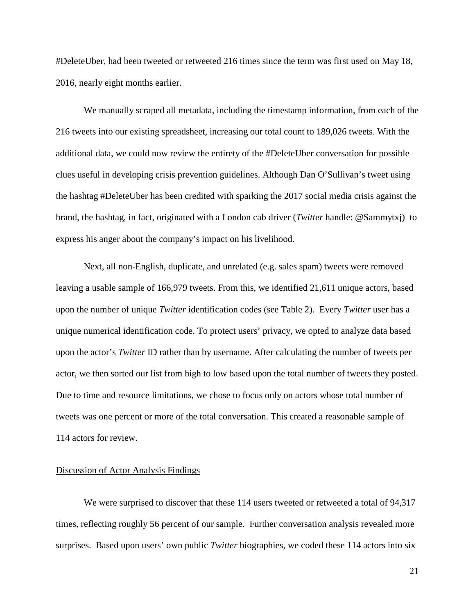#DeleteUber, had been tweeted or retweeted 216 times since the term was first used on May 18, 2016, nearly eight months earlier.

We manually scraped all metadata, including the timestamp information, from each of the 216 tweets into our existing spreadsheet, increasing our total count to 189,026 tweets. With the additional data, we could now review the entirety of the #DeleteUber conversation for possible clues useful in developing crisis prevention guidelines. Although Dan O'Sullivan's tweet using the hashtag #DeleteUber has been credited with sparking the 2017 social media crisis against the brand, the hashtag, in fact, originated with a London cab driver (*Twitter* handle: [@Sammytxj\)](https://twitter.com/Sammytxj) to express his anger about the company's impact on his livelihood.

Next, all non-English, duplicate, and unrelated (e.g. sales spam) tweets were removed leaving a usable sample of 166,979 tweets. From this, we identified 21,611 unique actors, based upon the number of unique *Twitter* identification codes (see Table 2). Every *Twitter* user has a unique numerical identification code. To protect users' privacy, we opted to analyze data based upon the actor's *Twitter* ID rather than by username. After calculating the number of tweets per actor, we then sorted our list from high to low based upon the total number of tweets they posted. Due to time and resource limitations, we chose to focus only on actors whose total number of tweets was one percent or more of the total conversation. This created a reasonable sample of 114 actors for review.

#### Discussion of Actor Analysis Findings

We were surprised to discover that these 114 users tweeted or retweeted a total of 94,317 times, reflecting roughly 56 percent of our sample. Further conversation analysis revealed more surprises. Based upon users' own public *Twitter* biographies, we coded these 114 actors into six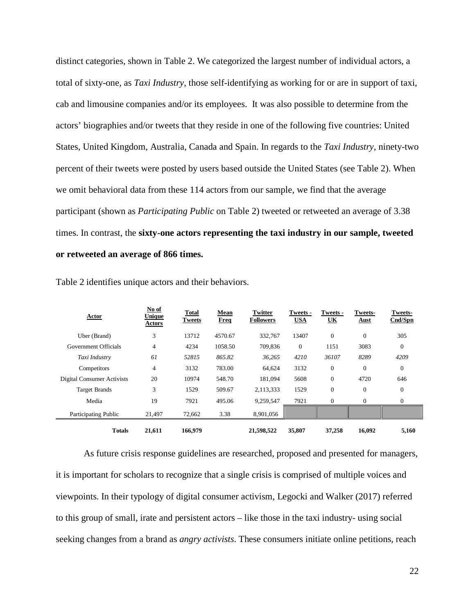distinct categories, shown in Table 2. We categorized the largest number of individual actors, a total of sixty-one, as *Taxi Industry*, those self-identifying as working for or are in support of taxi, cab and limousine companies and/or its employees. It was also possible to determine from the actors' biographies and/or tweets that they reside in one of the following five countries: United States, United Kingdom, Australia, Canada and Spain. In regards to the *Taxi Industry,* ninety-two percent of their tweets were posted by users based outside the United States (see Table 2). When we omit behavioral data from these 114 actors from our sample, we find that the average participant (shown as *Participating Public* on Table 2) tweeted or retweeted an average of 3.38 times. In contrast, the **sixty-one actors representing the taxi industry in our sample, tweeted or retweeted an average of 866 times.**

| <b>Actor</b>               | No of<br><b>Unique</b><br>Actors | Total<br>Tweets | Mean<br><b>Freq</b> | Twitter<br><b>Followers</b> | <b>Tweets -</b><br><b>USA</b> | Tweets -<br><u>UК</u> | Tweets-<br><b>Aust</b> | <b>Tweets-</b><br>Cnd/Spn |
|----------------------------|----------------------------------|-----------------|---------------------|-----------------------------|-------------------------------|-----------------------|------------------------|---------------------------|
| Uber (Brand)               | 3                                | 13712           | 4570.67             | 332.767                     | 13407                         | $\overline{0}$        | $\mathbf{0}$           | 305                       |
| Government Officials       | 4                                | 4234            | 1058.50             | 709,836                     | $\mathbf{0}$                  | 1151                  | 3083                   | $\theta$                  |
| Taxi Industry              | 61                               | 52815           | 865.82              | 36,265                      | 4210                          | 36107                 | 8289                   | 4209                      |
| Competitors                | 4                                | 3132            | 783.00              | 64,624                      | 3132                          | $\overline{0}$        | $\mathbf{0}$           | $\mathbf{0}$              |
| Digital Consumer Activists | 20                               | 10974           | 548.70              | 181.094                     | 5608                          | $\overline{0}$        | 4720                   | 646                       |
| <b>Target Brands</b>       | 3                                | 1529            | 509.67              | 2,113,333                   | 1529                          | $\overline{0}$        | $\mathbf{0}$           | $\theta$                  |
| Media                      | 19                               | 7921            | 495.06              | 9,259,547                   | 7921                          | $\overline{0}$        | $\mathbf{0}$           | $\mathbf{0}$              |
| Participating Public       | 21,497                           | 72,662          | 3.38                | 8,901,056                   |                               |                       |                        |                           |
| <b>Totals</b>              | 21,611                           | 166,979         |                     | 21,598,522                  | 35,807                        | 37,258                | 16,092                 | 5,160                     |

Table 2 identifies unique actors and their behaviors.

As future crisis response guidelines are researched, proposed and presented for managers, it is important for scholars to recognize that a single crisis is comprised of multiple voices and viewpoints. In their typology of digital consumer activism, Legocki and Walker (2017) referred to this group of small, irate and persistent actors – like those in the taxi industry- using social seeking changes from a brand as *angry activists*. These consumers initiate online petitions, reach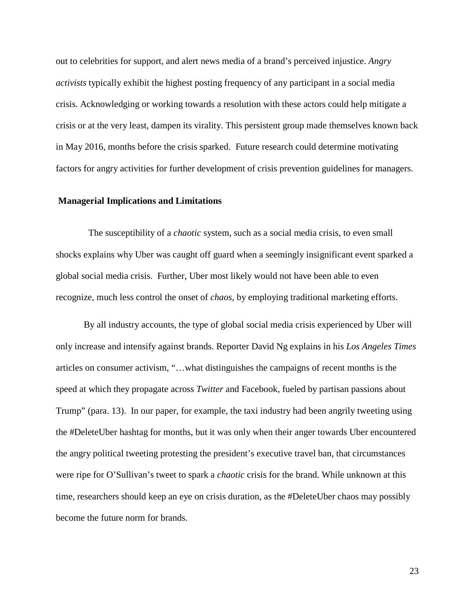out to celebrities for support, and alert news media of a brand's perceived injustice. *Angry activists* typically exhibit the highest posting frequency of any participant in a social media crisis. Acknowledging or working towards a resolution with these actors could help mitigate a crisis or at the very least, dampen its virality. This persistent group made themselves known back in May 2016, months before the crisis sparked. Future research could determine motivating factors for angry activities for further development of crisis prevention guidelines for managers.

#### **Managerial Implications and Limitations**

 The susceptibility of a *chaotic* system, such as a social media crisis, to even small shocks explains why Uber was caught off guard when a seemingly insignificant event sparked a global social media crisis. Further, Uber most likely would not have been able to even recognize, much less control the onset of *chaos*, by employing traditional marketing efforts.

By all industry accounts, the type of global social media crisis experienced by Uber will only increase and intensify against brands. Reporter David Ng explains in his *Los Angeles Times*  articles on consumer activism, "…what distinguishes the campaigns of recent months is the speed at which they propagate across *Twitter* and Facebook, fueled by partisan passions about Trump" (para. 13). In our paper, for example, the taxi industry had been angrily tweeting using the #DeleteUber hashtag for months, but it was only when their anger towards Uber encountered the angry political tweeting protesting the president's executive travel ban, that circumstances were ripe for O'Sullivan's tweet to spark a *chaotic* crisis for the brand. While unknown at this time, researchers should keep an eye on crisis duration, as the #DeleteUber chaos may possibly become the future norm for brands.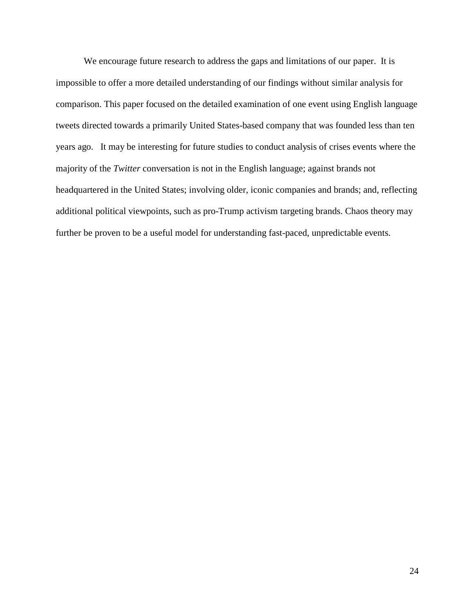We encourage future research to address the gaps and limitations of our paper. It is impossible to offer a more detailed understanding of our findings without similar analysis for comparison. This paper focused on the detailed examination of one event using English language tweets directed towards a primarily United States-based company that was founded less than ten years ago. It may be interesting for future studies to conduct analysis of crises events where the majority of the *Twitter* conversation is not in the English language; against brands not headquartered in the United States; involving older, iconic companies and brands; and, reflecting additional political viewpoints, such as pro-Trump activism targeting brands. Chaos theory may further be proven to be a useful model for understanding fast-paced, unpredictable events.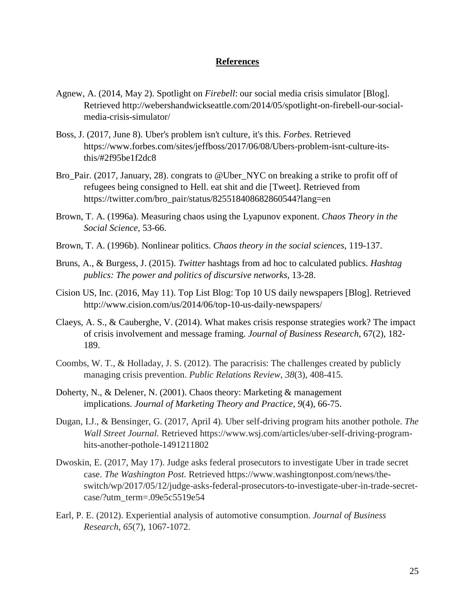#### **References**

- Agnew, A. (2014, May 2). Spotlight on *Firebell*: our social media crisis simulator [Blog]. Retrieved http://webershandwickseattle.com/2014/05/spotlight-on-firebell-our-socialmedia-crisis-simulator/
- Boss, J. (2017, June 8). Uber's problem isn't culture, it's this. *Forbes*. Retrieved https://www.forbes.com/sites/jeffboss/2017/06/08/Ubers-problem-isnt-culture-itsthis/#2f95be1f2dc8
- Bro\_Pair. (2017, January, 28). congrats to @Uber\_NYC on breaking a strike to profit off of refugees being consigned to Hell. eat shit and die [Tweet]. Retrieved from https://twitter.com/bro\_pair/status/825518408682860544?lang=en
- Brown, T. A. (1996a). Measuring chaos using the Lyapunov exponent. *Chaos Theory in the Social Science,* 53-66.
- Brown, T. A. (1996b). Nonlinear politics. *Chaos theory in the social sciences*, 119-137.
- Bruns, A., & Burgess, J. (2015). *Twitter* hashtags from ad hoc to calculated publics. *Hashtag publics: The power and politics of discursive networks*, 13-28.
- Cision US, Inc. (2016, May 11). Top List Blog: Top 10 US daily newspapers [Blog]. Retrieved http://www.cision.com/us/2014/06/top-10-us-daily-newspapers/
- Claeys, A. S., & Cauberghe, V. (2014). What makes crisis response strategies work? The impact of crisis involvement and message framing. *Journal of Business Research*, 67(2), 182- 189.
- Coombs, W. T., & Holladay, J. S. (2012). The paracrisis: The challenges created by publicly managing crisis prevention. *Public Relations Review*, *38*(3), 408-415.
- Doherty, N., & Delener, N. (2001). Chaos theory: Marketing & management implications. *Journal of Marketing Theory and Practice*, *9*(4), 66-75.
- Dugan, I.J., & Bensinger, G. (2017, April 4). Uber self-driving program hits another pothole. *The Wall Street Journal.* Retrieved https://www.wsj.com/articles/uber-self-driving-programhits-another-pothole-1491211802
- Dwoskin, E. (2017, May 17). Judge asks federal prosecutors to investigate Uber in trade secret case. *The Washington Post.* Retrieved https://www.washingtonpost.com/news/theswitch/wp/2017/05/12/judge-asks-federal-prosecutors-to-investigate-uber-in-trade-secretcase/?utm\_term=.09e5c5519e54
- Earl, P. E. (2012). Experiential analysis of automotive consumption. *Journal of Business Research*, *65*(7), 1067-1072.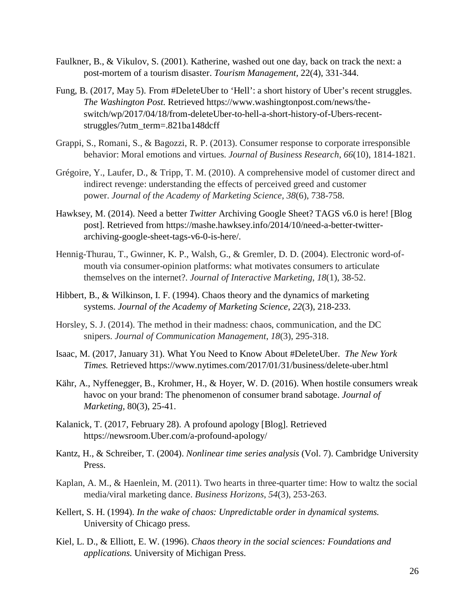- Faulkner, B., & Vikulov, S. (2001). Katherine, washed out one day, back on track the next: a post-mortem of a tourism disaster. *Tourism Management,* 22(4), 331-344.
- Fung, B. (2017, May 5). From #DeleteUber to 'Hell': a short history of Uber's recent struggles. *The Washington Post.* Retrieved https://www.washingtonpost.com/news/theswitch/wp/2017/04/18/from-deleteUber-to-hell-a-short-history-of-Ubers-recentstruggles/?utm\_term=.821ba148dcff
- Grappi, S., Romani, S., & Bagozzi, R. P. (2013). Consumer response to corporate irresponsible behavior: Moral emotions and virtues. *Journal of Business Research*, *66*(10), 1814-1821.
- Grégoire, Y., Laufer, D., & Tripp, T. M. (2010). A comprehensive model of customer direct and indirect revenge: understanding the effects of perceived greed and customer power. *Journal of the Academy of Marketing Science*, *38*(6), 738-758.
- Hawksey, M. (2014). Need a better *Twitter* Archiving Google Sheet? TAGS v6.0 is here! [Blog post]. Retrieved from https://mashe.hawksey.info/2014/10/need-a-better-twitterarchiving-google-sheet-tags-v6-0-is-here/.
- Hennig-Thurau, T., Gwinner, K. P., Walsh, G., & Gremler, D. D. (2004). Electronic word-ofmouth via consumer-opinion platforms: what motivates consumers to articulate themselves on the internet?. *Journal of Interactive Marketing*, *18*(1), 38-52.
- Hibbert, B., & Wilkinson, I. F. (1994). Chaos theory and the dynamics of marketing systems. *Journal of the Academy of Marketing Science*, *22*(3), 218-233.
- Horsley, S. J. (2014). The method in their madness: chaos, communication, and the DC snipers. *Journal of Communication Management*, *18*(3), 295-318.
- Isaac, M. (2017, January 31). What You Need to Know About #DeleteUber. *The New York Times.* Retrieved https://www.nytimes.com/2017/01/31/business/delete-uber.html
- Kähr, A., Nyffenegger, B., Krohmer, H., & Hoyer, W. D. (2016). When hostile consumers wreak havoc on your brand: The phenomenon of consumer brand sabotage. *Journal of Marketing,* 80(3), 25-41.
- Kalanick, T. (2017, February 28). A profound apology [Blog]. Retrieved https://newsroom.Uber.com/a-profound-apology/
- Kantz, H., & Schreiber, T. (2004). *Nonlinear time series analysis* (Vol. 7). Cambridge University Press.
- Kaplan, A. M., & Haenlein, M. (2011). Two hearts in three-quarter time: How to waltz the social media/viral marketing dance. *Business Horizons*, *54*(3), 253-263.
- Kellert, S. H. (1994). *In the wake of chaos: Unpredictable order in dynamical systems.*  University of Chicago press.
- Kiel, L. D., & Elliott, E. W. (1996). *Chaos theory in the social sciences: Foundations and applications.* University of Michigan Press.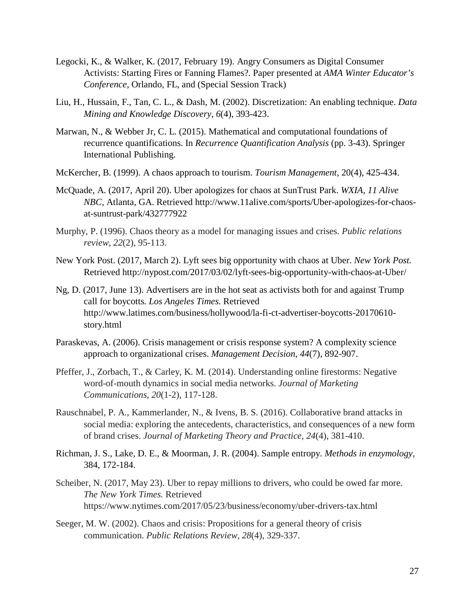- Legocki, K., & Walker, K. (2017, February 19). Angry Consumers as Digital Consumer Activists: Starting Fires or Fanning Flames?. Paper presented at *AMA Winter Educator's Conference*, Orlando, FL, and (Special Session Track)
- Liu, H., Hussain, F., Tan, C. L., & Dash, M. (2002). Discretization: An enabling technique. *Data Mining and Knowledge Discovery*, *6*(4), 393-423.
- Marwan, N., & Webber Jr, C. L. (2015). Mathematical and computational foundations of recurrence quantifications. In *Recurrence Quantification Analysis* (pp. 3-43). Springer International Publishing.
- McKercher, B. (1999). A chaos approach to tourism. *Tourism Management,* 20(4), 425-434.
- McQuade, A. (2017, April 20). Uber apologizes for chaos at SunTrust Park. *WXIA, 11 Alive NBC,* Atlanta, GA. Retrieved http://www.11alive.com/sports/Uber-apologizes-for-chaosat-suntrust-park/432777922
- Murphy, P. (1996). Chaos theory as a model for managing issues and crises. *Public relations review*, *22*(2), 95-113.
- New York Post. (2017, March 2). Lyft sees big opportunity with chaos at Uber. *New York Post.* Retrieved http://nypost.com/2017/03/02/lyft-sees-big-opportunity-with-chaos-at-Uber/
- Ng, D. (2017, June 13). Advertisers are in the hot seat as activists both for and against Trump call for boycotts*. Los Angeles Times.* Retrieved http://www.latimes.com/business/hollywood/la-fi-ct-advertiser-boycotts-20170610 story.html
- Paraskevas, A. (2006). Crisis management or crisis response system? A complexity science approach to organizational crises. *Management Decision*, *44*(7), 892-907.
- Pfeffer, J., Zorbach, T., & Carley, K. M. (2014). Understanding online firestorms: Negative word-of-mouth dynamics in social media networks. *Journal of Marketing Communications*, *20*(1-2), 117-128.
- Rauschnabel, P. A., Kammerlander, N., & Ivens, B. S. (2016). Collaborative brand attacks in social media: exploring the antecedents, characteristics, and consequences of a new form of brand crises. *Journal of Marketing Theory and Practice*, *24*(4), 381-410.
- Richman, J. S., Lake, D. E., & Moorman, J. R. (2004). Sample entropy. *Methods in enzymology,*  384, 172-184.
- Scheiber, N. (2017, May 23). Uber to repay millions to drivers, who could be owed far more. *The New York Times.* Retrieved https://www.nytimes.com/2017/05/23/business/economy/uber-drivers-tax.html
- Seeger, M. W. (2002). Chaos and crisis: Propositions for a general theory of crisis communication. *Public Relations Review*, *28*(4), 329-337.